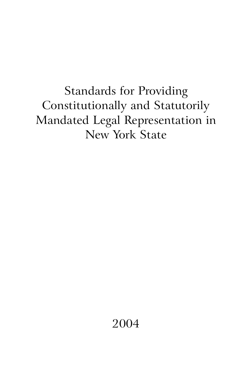Standards for Providing Constitutionally and Statutorily Mandated Legal Representation in New York State

2004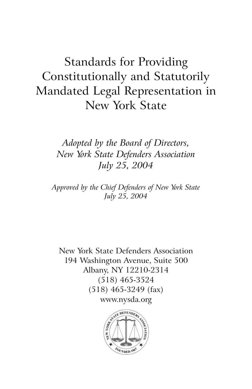# Standards for Providing Constitutionally and Statutorily Mandated Legal Representation in New York State

*Adopted by the Board of Directors, New York State Defenders Association July 25, 2004*

*Approved by the Chief Defenders of New York State July 25, 2004*

New York State Defenders Association 194 Washington Avenue, Suite 500 Albany, NY 12210-2314 (518) 465-3524 (518) 465-3249 (fax) www.nysda.org

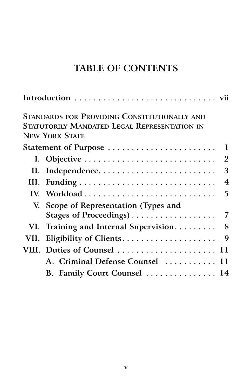## **TABLE OF CONTENTS**

|  | <b>STANDARDS FOR PROVIDING CONSTITUTIONALLY AND</b> |
|--|-----------------------------------------------------|
|  | <b>STATUTORILY MANDATED LEGAL REPRESENTATION IN</b> |
|  | <b>NEW YORK STATE</b>                               |
|  | Statement of Purpose<br>1                           |
|  | $\overline{2}$                                      |
|  | 3<br>II. Independence                               |
|  | $\overline{4}$                                      |
|  | 5                                                   |
|  | V. Scope of Representation (Types and               |
|  | 7                                                   |
|  | 8<br>VI. Training and Internal Supervision          |
|  | 9                                                   |
|  | VIII. Duties of Counsel  11                         |
|  | A. Criminal Defense Counsel  11                     |
|  | B. Family Court Counsel  14                         |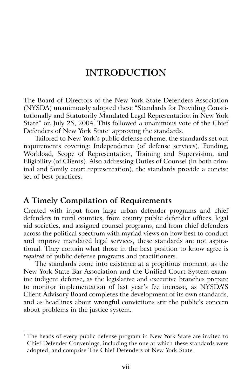## **INTRODUCTION**

The Board of Directors of the New York State Defenders Association (NYSDA) unanimously adopted these "Standards for Providing Constitutionally and Statutorily Mandated Legal Representation in New York State" on July 25, 2004. This followed a unanimous vote of the Chief Defenders of New York State<sup>1</sup> approving the standards.

Tailored to New York's public defense scheme, the standards set out requirements covering: Independence (of defense services), Funding, Workload, Scope of Representation, Training and Supervision, and Eligibility (of Clients). Also addressing Duties of Counsel (in both criminal and family court representation), the standards provide a concise set of best practices.

#### **A Timely Compilation of Requirements**

Created with input from large urban defender programs and chief defenders in rural counties, from county public defender offices, legal aid societies, and assigned counsel programs, and from chief defenders across the political spectrum with myriad views on how best to conduct and improve mandated legal services, these standards are not aspirational. They contain what those in the best position to know agree is *required* of public defense programs and practitioners.

The standards come into existence at a propitious moment, as the New York State Bar Association and the Unified Court System examine indigent defense, as the legislative and executive branches prepare to monitor implementation of last year's fee increase, as NYSDA'S Client Advisory Board completes the development of its own standards, and as headlines about wrongful convictions stir the public's concern about problems in the justice system.

The heads of every public defense program in New York State are invited to Chief Defender Convenings, including the one at which these standards were adopted, and comprise The Chief Defenders of New York State.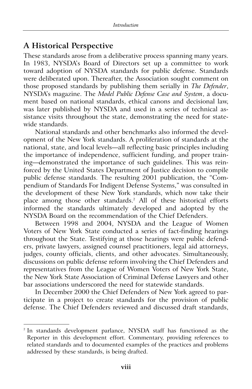#### **A Historical Perspective**

These standards arose from a deliberative process spanning many years. In 1983, NYSDA's Board of Directors set up a committee to work toward adoption of NYSDA standards for public defense. Standards were deliberated upon. Thereafter, the Association sought comment on those proposed standards by publishing them serially in *The Defender*, NYSDA's magazine. The *Model Public Defense Case and System*, a document based on national standards, ethical canons and decisional law, was later published by NYSDA and used in a series of technical assistance visits throughout the state, demonstrating the need for statewide standards.

National standards and other benchmarks also informed the development of the New York standards. A proliferation of standards at the national, state, and local levels—all reflecting basic principles including the importance of independence, sufficient funding, and proper training—demonstrated the importance of such guidelines. This was reinforced by the United States Department of Justice decision to compile public defense standards. The resulting 2001 publication, the "Compendium of Standards For Indigent Defense Systems," was consulted in the development of these New York standards, which now take their place among those other standards.<sup>2</sup> All of these historical efforts informed the standards ultimately developed and adopted by the NYSDA Board on the recommendation of the Chief Defenders.

Between 1998 and 2004, NYSDA and the League of Women Voters of New York State conducted a series of fact-finding hearings throughout the State. Testifying at those hearings were public defenders, private lawyers, assigned counsel practitioners, legal aid attorneys, judges, county officials, clients, and other advocates. Simultaneously, discussions on public defense reform involving the Chief Defenders and representatives from the League of Women Voters of New York State, the New York State Association of Criminal Defense Lawyers and other bar associations underscored the need for statewide standards.

In December 2000 the Chief Defenders of New York agreed to participate in a project to create standards for the provision of public defense. The Chief Defenders reviewed and discussed draft standards,

<sup>2</sup> In standards development parlance, NYSDA staff has functioned as the Reporter in this development effort. Commentary, providing references to related standards and to documented examples of the practices and problems addressed by these standards, is being drafted.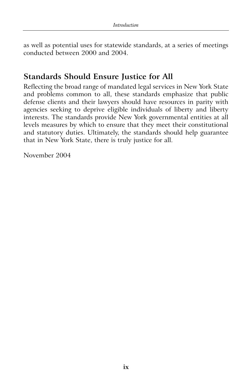as well as potential uses for statewide standards, at a series of meetings conducted between 2000 and 2004.

## **Standards Should Ensure Justice for All**

Reflecting the broad range of mandated legal services in New York State and problems common to all, these standards emphasize that public defense clients and their lawyers should have resources in parity with agencies seeking to deprive eligible individuals of liberty and liberty interests. The standards provide New York governmental entities at all levels measures by which to ensure that they meet their constitutional and statutory duties. Ultimately, the standards should help guarantee that in New York State, there is truly justice for all.

November 2004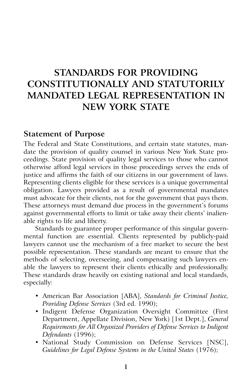## **STANDARDS FOR PROVIDING CONSTITUTIONALLY AND STATUTORILY MANDATED LEGAL REPRESENTATION IN NEW YORK STATE**

#### **Statement of Purpose**

The Federal and State Constitutions, and certain state statutes, mandate the provision of quality counsel in various New York State proceedings. State provision of quality legal services to those who cannot otherwise afford legal services in those proceedings serves the ends of justice and affirms the faith of our citizens in our government of laws. Representing clients eligible for these services is a unique governmental obligation. Lawyers provided as a result of governmental mandates must advocate for their clients, not for the government that pays them. These attorneys must demand due process in the government's forums against governmental efforts to limit or take away their clients' inalienable rights to life and liberty.

Standards to guarantee proper performance of this singular governmental function are essential. Clients represented by publicly-paid lawyers cannot use the mechanism of a free market to secure the best possible representation. These standards are meant to ensure that the methods of selecting, overseeing, and compensating such lawyers enable the lawyers to represent their clients ethically and professionally. These standards draw heavily on existing national and local standards, especially:

- American Bar Association [ABA], *Standards for Criminal Justice, Providing Defense Services* (3rd ed. 1990);
- Indigent Defense Organization Oversight Committee (First Department, Appellate Division, New York) [1st Dept.], *General Requirements for All Organized Providers of Defense Services to Indigent Defendants* (1996);
- National Study Commission on Defense Services [NSC], Guidelines for Legal Defense Systems in the United States (1976);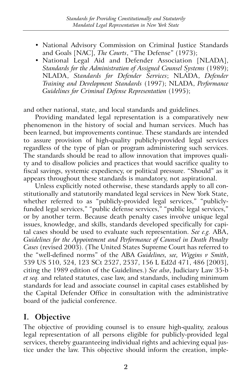- National Advisory Commission on Criminal Justice Standards and Goals [NAC], *The Courts*, "The Defense" (1973);
- National Legal Aid and Defender Association [NLADA], *Standards for the Administration of Assigned Counsel Systems* (1989); NLADA, *Standards for Defender Services*; NLADA, *Defender Training and Development Standards* (1997); NLADA, *Performance Guidelines for Criminal Defense Representation* (1995);

and other national, state, and local standards and guidelines.

Providing mandated legal representation is a comparatively new phenomenon in the history of social and human services. Much has been learned, but improvements continue. These standards are intended to assure provision of high-quality publicly-provided legal services regardless of the type of plan or program administering such services. The standards should be read to allow innovation that improves quality and to disallow policies and practices that would sacrifice quality to fiscal savings, systemic expediency, or political pressure. "Should" as it appears throughout these standards is mandatory, not aspirational.

Unless explicitly noted otherwise, these standards apply to all constitutionally and statutorily mandated legal services in New York State, whether referred to as "publicly-provided legal services," "publiclyfunded legal services," "public defense services," "public legal services," or by another term. Because death penalty cases involve unique legal issues, knowledge, and skills, standards developed specifically for capital cases should be used to evaluate such representation. *See e.g.* ABA, *Guidelines for the Appointment and Performance of Counsel in Death Penalty Cases* (revised 2003). (The United States Supreme Court has referred to the "well-defined norms" of the ABA *Guidelines, see, Wiggins v Smith*, 539 US 510, 524, 123 SCt 2527, 2537, 156 L Ed2d 471, 486 [2003], citing the 1989 edition of the Guidelines.) *See also*, Judiciary Law 35-b *et seq.* and related statutes, case law, and standards, including minimum standards for lead and associate counsel in capital cases established by the Capital Defender Office in consultation with the administrative board of the judicial conference.

#### **I. Objective**

The objective of providing counsel is to ensure high-quality, zealous legal representation of all persons eligible for publicly-provided legal services, thereby guaranteeing individual rights and achieving equal justice under the law. This objective should inform the creation, imple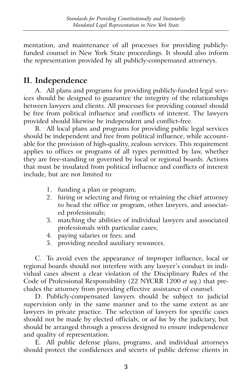mentation, and maintenance of all processes for providing publiclyfunded counsel in New York State proceedings. It should also inform the representation provided by all publicly-compensated attorneys.

## **II. Independence**

A. All plans and programs for providing publicly-funded legal services should be designed to guarantee the integrity of the relationships between lawyers and clients. All processes for providing counsel should be free from political influence and conflicts of interest. The lawyers provided should likewise be independent and conflict-free.

B. All local plans and programs for providing public legal services should be independent and free from political influence, while accountable for the provision of high-quality, zealous services. This requirement applies to offices or programs of all types permitted by law, whether they are free-standing or governed by local or regional boards. Actions that must be insulated from political influence and conflicts of interest include, but are not limited to:

- 1. funding a plan or program;
- 2. hiring or selecting and firing or retaining the chief attorney to head the office or program, other lawyers, and associated professionals;
- 3. matching the abilities of individual lawyers and associated professionals with particular cases;
- 4. paying salaries or fees; and
- 5. providing needed auxiliary resources.

C. To avoid even the appearance of improper influence, local or regional boards should not interfere with any lawyer's conduct in individual cases absent a clear violation of the Disciplinary Rules of the Code of Professional Responsibility (22 NYCRR 1200 *et seq*.) that precludes the attorney from providing effective assistance of counsel.

D. Publicly-compensated lawyers should be subject to judicial supervision only in the same manner and to the same extent as are lawyers in private practice. The selection of lawyers for specific cases should not be made by elected officials, or *ad hoc* by the judiciary, but should be arranged through a process designed to ensure independence and quality of representation.

E. All public defense plans, programs, and individual attorneys should protect the confidences and secrets of public defense clients in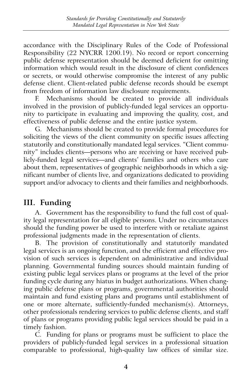accordance with the Disciplinary Rules of the Code of Professional Responsibility (22 NYCRR 1200.19). No record or report concerning public defense representation should be deemed deficient for omitting information which would result in the disclosure of client confidences or secrets, or would otherwise compromise the interest of any public defense client. Client-related public defense records should be exempt from freedom of information law disclosure requirements.

F. Mechanisms should be created to provide all individuals involved in the provision of publicly-funded legal services an opportunity to participate in evaluating and improving the quality, cost, and effectiveness of public defense and the entire justice system.

G. Mechanisms should be created to provide formal procedures for soliciting the views of the client community on specific issues affecting statutorily and constitutionally mandated legal services. "Client community" includes clients—persons who are receiving or have received publicly-funded legal services—and clients' families and others who care about them, representatives of geographic neighborhoods in which a significant number of clients live, and organizations dedicated to providing support and/or advocacy to clients and their families and neighborhoods.

## **III. Funding**

A. Government has the responsibility to fund the full cost of quality legal representation for all eligible persons. Under no circumstances should the funding power be used to interfere with or retaliate against professional judgments made in the representation of clients.

B. The provision of constitutionally and statutorily mandated legal services is an ongoing function, and the efficient and effective provision of such services is dependent on administrative and individual planning. Governmental funding sources should maintain funding of existing public legal services plans or programs at the level of the prior funding cycle during any hiatus in budget authorizations. When changing public defense plans or programs, governmental authorities should maintain and fund existing plans and programs until establishment of one or more alternate, sufficiently-funded mechanism(s). Attorneys, other professionals rendering services to public defense clients, and staff of plans or programs providing public legal services should be paid in a timely fashion.

C. Funding for plans or programs must be sufficient to place the providers of publicly-funded legal services in a professional situation comparable to professional, high-quality law offices of similar size.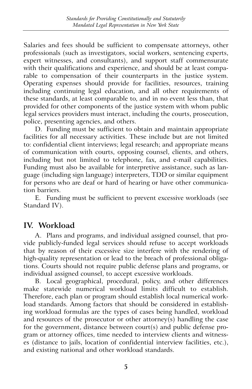Salaries and fees should be sufficient to compensate attorneys, other professionals (such as investigators, social workers, sentencing experts, expert witnesses, and consultants), and support staff commensurate with their qualifications and experience, and should be at least comparable to compensation of their counterparts in the justice system. Operating expenses should provide for facilities, resources, training including continuing legal education, and all other requirements of these standards, at least comparable to, and in no event less than, that provided for other components of the justice system with whom public legal services providers must interact, including the courts, prosecution, police, presenting agencies, and others.

D. Funding must be sufficient to obtain and maintain appropriate facilities for all necessary activities. These include but are not limited to: confidential client interviews; legal research; and appropriate means of communication with courts, opposing counsel, clients, and others, including but not limited to telephone, fax, and e-mail capabilities. Funding must also be available for interpretive assistance, such as language (including sign language) interpreters, TDD or similar equipment for persons who are deaf or hard of hearing or have other communication barriers.

E. Funding must be sufficient to prevent excessive workloads (see Standard IV).

#### **IV. Workload**

A. Plans and programs, and individual assigned counsel, that provide publicly-funded legal services should refuse to accept workloads that by reason of their excessive size interfere with the rendering of high-quality representation or lead to the breach of professional obligations. Courts should not require public defense plans and programs, or individual assigned counsel, to accept excessive workloads.

B. Local geographical, procedural, policy, and other differences make statewide numerical workload limits difficult to establish. Therefore, each plan or program should establish local numerical workload standards. Among factors that should be considered in establishing workload formulas are the types of cases being handled, workload and resources of the prosecutor or other attorney(s) handling the case for the government, distance between court(s) and public defense program or attorney offices, time needed to interview clients and witnesses (distance to jails, location of confidential interview facilities, etc.), and existing national and other workload standards.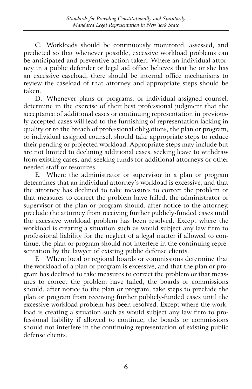C. Workloads should be continuously monitored, assessed, and predicted so that whenever possible, excessive workload problems can be anticipated and preventive action taken. Where an individual attorney in a public defender or legal aid office believes that he or she has an excessive caseload, there should be internal office mechanisms to review the caseload of that attorney and appropriate steps should be taken.

D. Whenever plans or programs, or individual assigned counsel, determine in the exercise of their best professional judgment that the acceptance of additional cases or continuing representation in previously-accepted cases will lead to the furnishing of representation lacking in quality or to the breach of professional obligations, the plan or program, or individual assigned counsel, should take appropriate steps to reduce their pending or projected workload. Appropriate steps may include but are not limited to declining additional cases, seeking leave to withdraw from existing cases, and seeking funds for additional attorneys or other needed staff or resources.

E. Where the administrator or supervisor in a plan or program determines that an individual attorney's workload is excessive, and that the attorney has declined to take measures to correct the problem or that measures to correct the problem have failed, the administrator or supervisor of the plan or program should, after notice to the attorney, preclude the attorney from receiving further publicly-funded cases until the excessive workload problem has been resolved. Except where the workload is creating a situation such as would subject any law firm to professional liability for the neglect of a legal matter if allowed to continue, the plan or program should not interfere in the continuing representation by the lawyer of existing public defense clients.

F. Where local or regional boards or commissions determine that the workload of a plan or program is excessive, and that the plan or program has declined to take measures to correct the problem or that measures to correct the problem have failed, the boards or commissions should, after notice to the plan or program, take steps to preclude the plan or program from receiving further publicly-funded cases until the excessive workload problem has been resolved. Except where the workload is creating a situation such as would subject any law firm to professional liability if allowed to continue, the boards or commissions should not interfere in the continuing representation of existing public defense clients.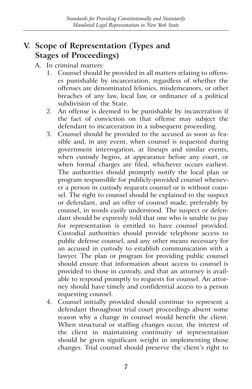## **V. Scope of Representation (Types and Stages of Proceedings)**

- A. In criminal matters:
	- 1. Counsel should be provided in all matters relating to offenses punishable by incarceration, regardless of whether the offenses are denominated felonies, misdemeanors, or other breaches of any law, local law, or ordinance of a political subdivision of the State.
	- 2. An offense is deemed to be punishable by incarceration if the fact of conviction on that offense may subject the defendant to incarceration in a subsequent proceeding.
	- 3. Counsel should be provided to the accused as soon as feasible and, in any event, when counsel is requested during government interrogation, at lineups and similar events, when custody begins, at appearance before any court, or when formal charges are filed, whichever occurs earliest. The authorities should promptly notify the local plan or program responsible for publicly-provided counsel whenever a person in custody requests counsel or is without counsel. The right to counsel should be explained to the suspect or defendant, and an offer of counsel made, preferably by counsel, in words easily understood. The suspect or defendant should be expressly told that one who is unable to pay for representation is entitled to have counsel provided. Custodial authorities should provide telephone access to public defense counsel, and any other means necessary for an accused in custody to establish communication with a lawyer. The plan or program for providing public counsel should ensure that information about access to counsel is provided to those in custody, and that an attorney is available to respond promptly to requests for counsel. An attorney should have timely and confidential access to a person requesting counsel.
	- 4. Counsel initially provided should continue to represent a defendant throughout trial court proceedings absent some reason why a change in counsel would benefit the client. When structural or staffing changes occur, the interest of the client in maintaining continuity of representation should be given significant weight in implementing those changes. Trial counsel should preserve the client's right to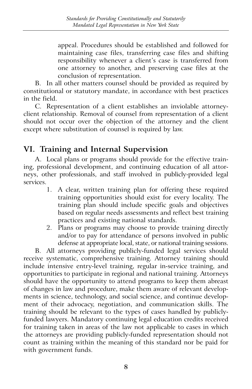appeal. Procedures should be established and followed for maintaining case files, transferring case files and shifting responsibility whenever a client's case is transferred from one attorney to another, and preserving case files at the conclusion of representation.

B. In all other matters counsel should be provided as required by constitutional or statutory mandate, in accordance with best practices in the field.

C. Representation of a client establishes an inviolable attorneyclient relationship. Removal of counsel from representation of a client should not occur over the objection of the attorney and the client except where substitution of counsel is required by law.

## **VI. Training and Internal Supervision**

A. Local plans or programs should provide for the effective training, professional development, and continuing education of all attorneys, other professionals, and staff involved in publicly-provided legal services.

- 1. A clear, written training plan for offering these required training opportunities should exist for every locality. The training plan should include specific goals and objectives based on regular needs assessments and reflect best training practices and existing national standards.
- 2. Plans or programs may choose to provide training directly and/or to pay for attendance of persons involved in public defense at appropriate local, state, or national training sessions.

B. All attorneys providing publicly-funded legal services should receive systematic, comprehensive training. Attorney training should include intensive entry-level training, regular in-service training, and opportunities to participate in regional and national training. Attorneys should have the opportunity to attend programs to keep them abreast of changes in law and procedure, make them aware of relevant developments in science, technology, and social science, and continue development of their advocacy, negotiation, and communication skills. The training should be relevant to the types of cases handled by publiclyfunded lawyers. Mandatory continuing legal education credits received for training taken in areas of the law not applicable to cases in which the attorneys are providing publicly-funded representation should not count as training within the meaning of this standard nor be paid for with government funds.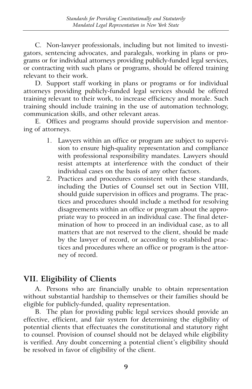C. Non-lawyer professionals, including but not limited to investigators, sentencing advocates, and paralegals, working in plans or programs or for individual attorneys providing publicly-funded legal services, or contracting with such plans or programs, should be offered training relevant to their work.

D. Support staff working in plans or programs or for individual attorneys providing publicly-funded legal services should be offered training relevant to their work, to increase efficiency and morale. Such training should include training in the use of automation technology, communication skills, and other relevant areas.

E. Offices and programs should provide supervision and mentoring of attorneys.

- 1. Lawyers within an office or program are subject to supervision to ensure high-quality representation and compliance with professional responsibility mandates. Lawyers should resist attempts at interference with the conduct of their individual cases on the basis of any other factors.
- 2. Practices and procedures consistent with these standards, including the Duties of Counsel set out in Section VIII, should guide supervision in offices and programs. The practices and procedures should include a method for resolving disagreements within an office or program about the appropriate way to proceed in an individual case. The final determination of how to proceed in an individual case, as to all matters that are not reserved to the client, should be made by the lawyer of record, or according to established practices and procedures where an office or program is the attorney of record.

## **VII. Eligibility of Clients**

A. Persons who are financially unable to obtain representation without substantial hardship to themselves or their families should be eligible for publicly-funded, quality representation.

B. The plan for providing public legal services should provide an effective, efficient, and fair system for determining the eligibility of potential clients that effectuates the constitutional and statutory right to counsel. Provision of counsel should not be delayed while eligibility is verified. Any doubt concerning a potential client's eligibility should be resolved in favor of eligibility of the client.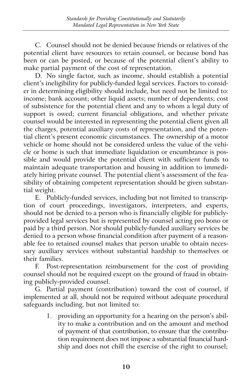C. Counsel should not be denied because friends or relatives of the potential client have resources to retain counsel, or because bond has been or can be posted, or because of the potential client's ability to make partial payment of the cost of representation.

D. No single factor, such as income, should establish a potential client's ineligibility for publicly-funded legal services. Factors to consider in determining eligibility should include, but need not be limited to: income; bank account; other liquid assets; number of dependents; cost of subsistence for the potential client and any to whom a legal duty of support is owed; current financial obligations, and whether private counsel would be interested in representing the potential client given all the charges, potential auxiliary costs of representation, and the potential client's present economic circumstances. The ownership of a motor vehicle or home should not be considered unless the value of the vehicle or home is such that immediate liquidation or encumbrance is possible and would provide the potential client with sufficient funds to maintain adequate transportation and housing in addition to immediately hiring private counsel. The potential client's assessment of the feasibility of obtaining competent representation should be given substantial weight.

E. Publicly-funded services, including but not limited to transcription of court proceedings, investigators, interpreters, and experts, should not be denied to a person who is financially eligible for publiclyprovided legal services but is represented by counsel acting pro bono or paid by a third person. Nor should publicly-funded auxiliary services be denied to a person whose financial condition after payment of a reasonable fee to retained counsel makes that person unable to obtain necessary auxiliary services without substantial hardship to themselves or their families.

F. Post-representation reimbursement for the cost of providing counsel should not be required except on the ground of fraud in obtaining publicly-provided counsel.

G. Partial payment (contribution) toward the cost of counsel, if implemented at all, should not be required without adequate procedural safeguards including, but not limited to:

> 1. providing an opportunity for a hearing on the person's ability to make a contribution and on the amount and method of payment of that contribution, to ensure that the contribution requirement does not impose a substantial financial hardship and does not chill the exercise of the right to counsel;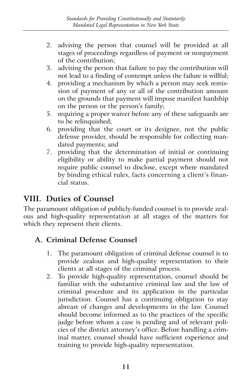- 2. advising the person that counsel will be provided at all stages of proceedings regardless of payment or nonpayment of the contribution;
- 3. advising the person that failure to pay the contribution will not lead to a finding of contempt unless the failure is willful;
- 4. providing a mechanism by which a person may seek remission of payment of any or all of the contribution amount on the grounds that payment will impose manifest hardship on the person or the person's family;
- 5. requiring a proper waiver before any of these safeguards are to be relinquished;
- 6. providing that the court or its designee, not the public defense provider, should be responsible for collecting mandated payments; and
- 7. providing that the determination of initial or continuing eligibility or ability to make partial payment should not require public counsel to disclose, except where mandated by binding ethical rules, facts concerning a client's financial status.

### **VIII. Duties of Counsel**

The paramount obligation of publicly-funded counsel is to provide zealous and high-quality representation at all stages of the matters for which they represent their clients.

#### **A. Criminal Defense Counsel**

- 1. The paramount obligation of criminal defense counsel is to provide zealous and high-quality representation to their clients at all stages of the criminal process.
- 2. To provide high-quality representation, counsel should be familiar with the substantive criminal law and the law of criminal procedure and its application in the particular jurisdiction. Counsel has a continuing obligation to stay abreast of changes and developments in the law. Counsel should become informed as to the practices of the specific judge before whom a case is pending and of relevant policies of the district attorney's office. Before handling a criminal matter, counsel should have sufficient experience and training to provide high-quality representation.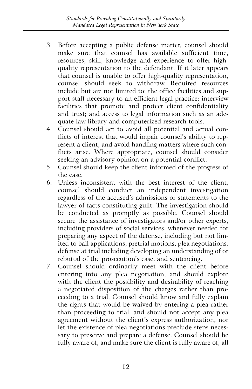- 3. Before accepting a public defense matter, counsel should make sure that counsel has available sufficient time, resources, skill, knowledge and experience to offer highquality representation to the defendant. If it later appears that counsel is unable to offer high-quality representation, counsel should seek to withdraw. Required resources include but are not limited to: the office facilities and support staff necessary to an efficient legal practice; interview facilities that promote and protect client confidentiality and trust; and access to legal information such as an adequate law library and computerized research tools.
- 4. Counsel should act to avoid all potential and actual conflicts of interest that would impair counsel's ability to represent a client, and avoid handling matters where such conflicts arise. Where appropriate, counsel should consider seeking an advisory opinion on a potential conflict.
- 5. Counsel should keep the client informed of the progress of the case.
- 6. Unless inconsistent with the best interest of the client, counsel should conduct an independent investigation regardless of the accused's admissions or statements to the lawyer of facts constituting guilt. The investigation should be conducted as promptly as possible. Counsel should secure the assistance of investigators and/or other experts, including providers of social services, whenever needed for preparing any aspect of the defense, including but not limited to bail applications, pretrial motions, plea negotiations, defense at trial including developing an understanding of or rebuttal of the prosecution's case, and sentencing.
- 7. Counsel should ordinarily meet with the client before entering into any plea negotiation, and should explore with the client the possibility and desirability of reaching a negotiated disposition of the charges rather than proceeding to a trial. Counsel should know and fully explain the rights that would be waived by entering a plea rather than proceeding to trial, and should not accept any plea agreement without the client's express authorization, nor let the existence of plea negotiations preclude steps necessary to preserve and prepare a defense. Counsel should be fully aware of, and make sure the client is fully aware of, all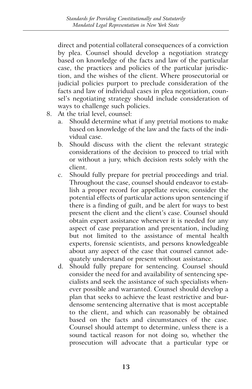direct and potential collateral consequences of a conviction by plea. Counsel should develop a negotiation strategy based on knowledge of the facts and law of the particular case, the practices and policies of the particular jurisdiction, and the wishes of the client. Where prosecutorial or judicial policies purport to preclude consideration of the facts and law of individual cases in plea negotiation, counsel's negotiating strategy should include consideration of ways to challenge such policies.

- 8. At the trial level, counsel:
	- a. Should determine what if any pretrial motions to make based on knowledge of the law and the facts of the individual case.
	- b. Should discuss with the client the relevant strategic considerations of the decision to proceed to trial with or without a jury, which decision rests solely with the client.
	- c. Should fully prepare for pretrial proceedings and trial. Throughout the case, counsel should endeavor to establish a proper record for appellate review, consider the potential effects of particular actions upon sentencing if there is a finding of guilt, and be alert for ways to best present the client and the client's case. Counsel should obtain expert assistance whenever it is needed for any aspect of case preparation and presentation, including but not limited to the assistance of mental health experts, forensic scientists, and persons knowledgeable about any aspect of the case that counsel cannot adequately understand or present without assistance.
	- d. Should fully prepare for sentencing. Counsel should consider the need for and availability of sentencing specialists and seek the assistance of such specialists whenever possible and warranted. Counsel should develop a plan that seeks to achieve the least restrictive and burdensome sentencing alternative that is most acceptable to the client, and which can reasonably be obtained based on the facts and circumstances of the case. Counsel should attempt to determine, unless there is a sound tactical reason for not doing so, whether the prosecution will advocate that a particular type or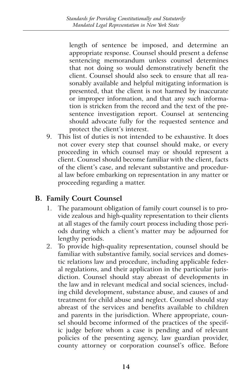length of sentence be imposed, and determine an appropriate response. Counsel should present a defense sentencing memorandum unless counsel determines that not doing so would demonstratively benefit the client. Counsel should also seek to ensure that all reasonably available and helpful mitigating information is presented, that the client is not harmed by inaccurate or improper information, and that any such information is stricken from the record and the text of the presentence investigation report. Counsel at sentencing should advocate fully for the requested sentence and protect the client's interest.

9. This list of duties is not intended to be exhaustive. It does not cover every step that counsel should make, or every proceeding in which counsel may or should represent a client. Counsel should become familiar with the client, facts of the client's case, and relevant substantive and procedural law before embarking on representation in any matter or proceeding regarding a matter.

#### **B. Family Court Counsel**

- 1. The paramount obligation of family court counsel is to provide zealous and high-quality representation to their clients at all stages of the family court process including those periods during which a client's matter may be adjourned for lengthy periods.
- 2. To provide high-quality representation, counsel should be familiar with substantive family, social services and domestic relations law and procedure, including applicable federal regulations, and their application in the particular jurisdiction. Counsel should stay abreast of developments in the law and in relevant medical and social sciences, including child development, substance abuse, and causes of and treatment for child abuse and neglect. Counsel should stay abreast of the services and benefits available to children and parents in the jurisdiction. Where appropriate, counsel should become informed of the practices of the specific judge before whom a case is pending and of relevant policies of the presenting agency, law guardian provider, county attorney or corporation counsel's office. Before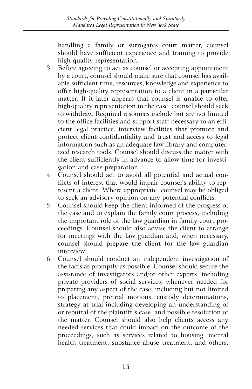handling a family or surrogates court matter, counsel should have sufficient experience and training to provide high-quality representation.

- 3. Before agreeing to act as counsel or accepting appointment by a court, counsel should make sure that counsel has available sufficient time, resources, knowledge and experience to offer high-quality representation to a client in a particular matter. If it later appears that counsel is unable to offer high-quality representation in the case, counsel should seek to withdraw. Required resources include but are not limited to the office facilities and support staff necessary to an efficient legal practice, interview facilities that promote and protect client confidentiality and trust and access to legal information such as an adequate law library and computerized research tools. Counsel should discuss the matter with the client sufficiently in advance to allow time for investigation and case preparation.
- 4. Counsel should act to avoid all potential and actual conflicts of interest that would impair counsel's ability to represent a client. Where appropriate, counsel may be obliged to seek an advisory opinion on any potential conflicts.
- 5. Counsel should keep the client informed of the progress of the case and to explain the family court process, including the important role of the law guardian in family court proceedings. Counsel should also advise the client to arrange for meetings with the law guardian and, when necessary, counsel should prepare the client for the law guardian interview.
- 6. Counsel should conduct an independent investigation of the facts as promptly as possible. Counsel should secure the assistance of investigators and/or other experts, including private providers of social services, whenever needed for preparing any aspect of the case, including but not limited to placement, pretrial motions, custody determinations, strategy at trial including developing an understanding of or rebuttal of the plaintiff's case, and possible resolution of the matter. Counsel should also help clients access any needed services that could impact on the outcome of the proceedings, such as services related to housing, mental health treatment, substance abuse treatment, and others.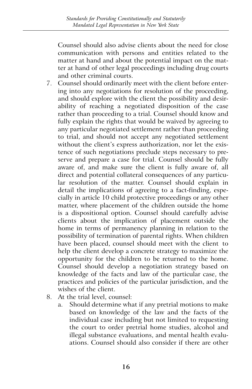Counsel should also advise clients about the need for close communication with persons and entities related to the matter at hand and about the potential impact on the matter at hand of other legal proceedings including drug courts and other criminal courts.

- 7. Counsel should ordinarily meet with the client before entering into any negotiations for resolution of the proceeding, and should explore with the client the possibility and desirability of reaching a negotiated disposition of the case rather than proceeding to a trial. Counsel should know and fully explain the rights that would be waived by agreeing to any particular negotiated settlement rather than proceeding to trial, and should not accept any negotiated settlement without the client's express authorization, nor let the existence of such negotiations preclude steps necessary to preserve and prepare a case for trial. Counsel should be fully aware of, and make sure the client is fully aware of, all direct and potential collateral consequences of any particular resolution of the matter. Counsel should explain in detail the implications of agreeing to a fact-finding, especially in article 10 child protective proceedings or any other matter, where placement of the children outside the home is a dispositional option. Counsel should carefully advise clients about the implication of placement outside the home in terms of permanency planning in relation to the possibility of termination of parental rights. When children have been placed, counsel should meet with the client to help the client develop a concrete strategy to maximize the opportunity for the children to be returned to the home. Counsel should develop a negotiation strategy based on knowledge of the facts and law of the particular case, the practices and policies of the particular jurisdiction, and the wishes of the client.
- 8. At the trial level, counsel:
	- a. Should determine what if any pretrial motions to make based on knowledge of the law and the facts of the individual case including but not limited to requesting the court to order pretrial home studies, alcohol and illegal substance evaluations, and mental health evaluations. Counsel should also consider if there are other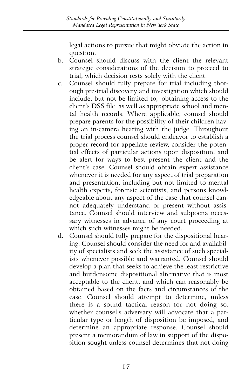legal actions to pursue that might obviate the action in question.

- b. Counsel should discuss with the client the relevant strategic considerations of the decision to proceed to trial, which decision rests solely with the client.
- c. Counsel should fully prepare for trial including thorough pre-trial discovery and investigation which should include, but not be limited to, obtaining access to the client's DSS file, as well as appropriate school and mental health records. Where applicable, counsel should prepare parents for the possibility of their children having an in-camera hearing with the judge. Throughout the trial process counsel should endeavor to establish a proper record for appellate review, consider the potential effects of particular actions upon disposition, and be alert for ways to best present the client and the client's case. Counsel should obtain expert assistance whenever it is needed for any aspect of trial preparation and presentation, including but not limited to mental health experts, forensic scientists, and persons knowledgeable about any aspect of the case that counsel cannot adequately understand or present without assistance. Counsel should interview and subpoena necessary witnesses in advance of any court proceeding at which such witnesses might be needed.
- d. Counsel should fully prepare for the dispositional hearing. Counsel should consider the need for and availability of specialists and seek the assistance of such specialists whenever possible and warranted. Counsel should develop a plan that seeks to achieve the least restrictive and burdensome dispositional alternative that is most acceptable to the client, and which can reasonably be obtained based on the facts and circumstances of the case. Counsel should attempt to determine, unless there is a sound tactical reason for not doing so, whether counsel's adversary will advocate that a particular type or length of disposition be imposed, and determine an appropriate response. Counsel should present a memorandum of law in support of the disposition sought unless counsel determines that not doing